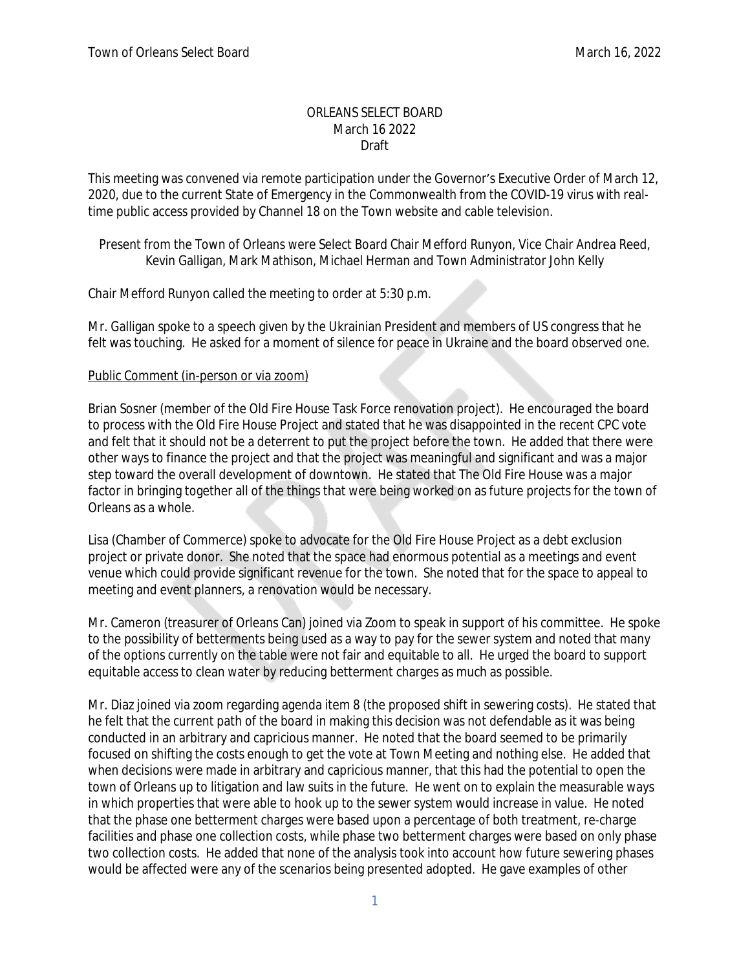#### ORLEANS SELECT BOARD March 16 2022 Draft

This meeting was convened via remote participation under the Governor's Executive Order of March 12, 2020, due to the current State of Emergency in the Commonwealth from the COVID-19 virus with realtime public access provided by Channel 18 on the Town website and cable television.

Present from the Town of Orleans were Select Board Chair Mefford Runyon, Vice Chair Andrea Reed, Kevin Galligan, Mark Mathison, Michael Herman and Town Administrator John Kelly

Chair Mefford Runyon called the meeting to order at 5:30 p.m.

Mr. Galligan spoke to a speech given by the Ukrainian President and members of US congress that he felt was touching. He asked for a moment of silence for peace in Ukraine and the board observed one.

### Public Comment (in-person or via zoom)

Brian Sosner (member of the Old Fire House Task Force renovation project). He encouraged the board to process with the Old Fire House Project and stated that he was disappointed in the recent CPC vote and felt that it should not be a deterrent to put the project before the town. He added that there were other ways to finance the project and that the project was meaningful and significant and was a major step toward the overall development of downtown. He stated that The Old Fire House was a major factor in bringing together all of the things that were being worked on as future projects for the town of Orleans as a whole.

Lisa (Chamber of Commerce) spoke to advocate for the Old Fire House Project as a debt exclusion project or private donor. She noted that the space had enormous potential as a meetings and event venue which could provide significant revenue for the town. She noted that for the space to appeal to meeting and event planners, a renovation would be necessary.

Mr. Cameron (treasurer of Orleans Can) joined via Zoom to speak in support of his committee. He spoke to the possibility of betterments being used as a way to pay for the sewer system and noted that many of the options currently on the table were not fair and equitable to all. He urged the board to support equitable access to clean water by reducing betterment charges as much as possible.

Mr. Diaz joined via zoom regarding agenda item 8 (the proposed shift in sewering costs). He stated that he felt that the current path of the board in making this decision was not defendable as it was being conducted in an arbitrary and capricious manner. He noted that the board seemed to be primarily focused on shifting the costs enough to get the vote at Town Meeting and nothing else. He added that when decisions were made in arbitrary and capricious manner, that this had the potential to open the town of Orleans up to litigation and law suits in the future. He went on to explain the measurable ways in which properties that were able to hook up to the sewer system would increase in value. He noted that the phase one betterment charges were based upon a percentage of both treatment, re-charge facilities and phase one collection costs, while phase two betterment charges were based on only phase two collection costs. He added that none of the analysis took into account how future sewering phases would be affected were any of the scenarios being presented adopted. He gave examples of other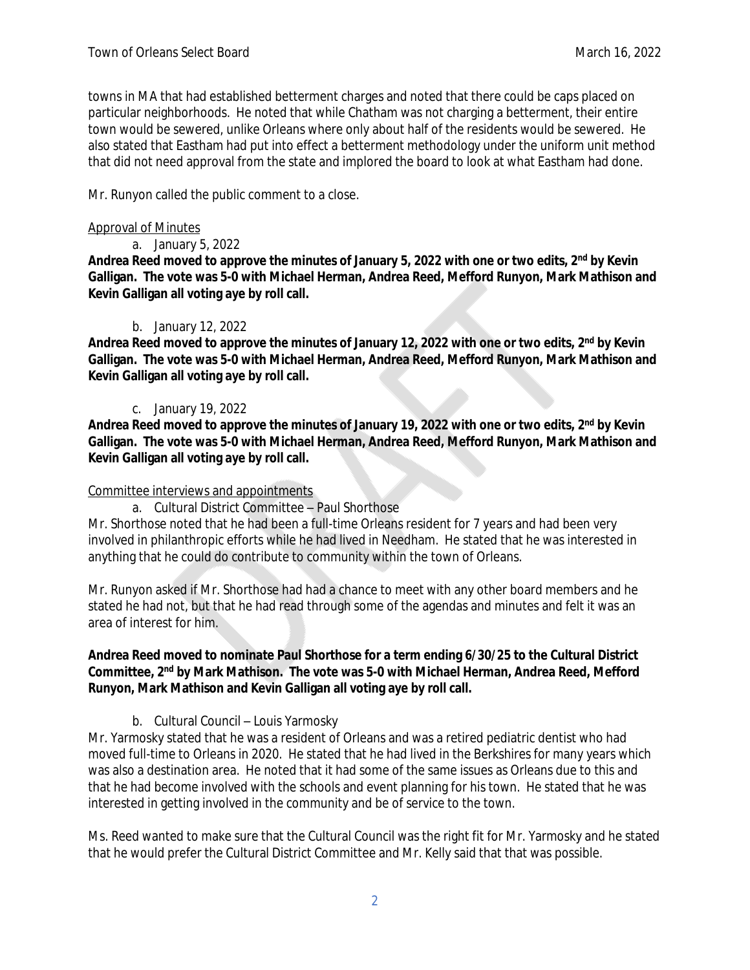towns in MA that had established betterment charges and noted that there could be caps placed on particular neighborhoods. He noted that while Chatham was not charging a betterment, their entire town would be sewered, unlike Orleans where only about half of the residents would be sewered. He also stated that Eastham had put into effect a betterment methodology under the uniform unit method that did not need approval from the state and implored the board to look at what Eastham had done.

Mr. Runyon called the public comment to a close.

### Approval of Minutes

a. January 5, 2022

**Andrea Reed moved to approve the minutes of January 5, 2022 with one or two edits, 2nd by Kevin Galligan. The vote was 5-0 with Michael Herman, Andrea Reed, Mefford Runyon, Mark Mathison and Kevin Galligan all voting aye by roll call.**

# b. January 12, 2022

**Andrea Reed moved to approve the minutes of January 12, 2022 with one or two edits, 2nd by Kevin Galligan. The vote was 5-0 with Michael Herman, Andrea Reed, Mefford Runyon, Mark Mathison and Kevin Galligan all voting aye by roll call.**

# c. January 19, 2022

**Andrea Reed moved to approve the minutes of January 19, 2022 with one or two edits, 2nd by Kevin Galligan. The vote was 5-0 with Michael Herman, Andrea Reed, Mefford Runyon, Mark Mathison and Kevin Galligan all voting aye by roll call.**

### Committee interviews and appointments

a. Cultural District Committee – Paul Shorthose

Mr. Shorthose noted that he had been a full-time Orleans resident for 7 years and had been very involved in philanthropic efforts while he had lived in Needham. He stated that he was interested in anything that he could do contribute to community within the town of Orleans.

Mr. Runyon asked if Mr. Shorthose had had a chance to meet with any other board members and he stated he had not, but that he had read through some of the agendas and minutes and felt it was an area of interest for him.

### **Andrea Reed moved to nominate Paul Shorthose for a term ending 6/30/25 to the Cultural District Committee, 2nd by Mark Mathison. The vote was 5-0 with Michael Herman, Andrea Reed, Mefford Runyon, Mark Mathison and Kevin Galligan all voting aye by roll call.**

# b. Cultural Council – Louis Yarmosky

Mr. Yarmosky stated that he was a resident of Orleans and was a retired pediatric dentist who had moved full-time to Orleans in 2020. He stated that he had lived in the Berkshires for many years which was also a destination area. He noted that it had some of the same issues as Orleans due to this and that he had become involved with the schools and event planning for his town. He stated that he was interested in getting involved in the community and be of service to the town.

Ms. Reed wanted to make sure that the Cultural Council was the right fit for Mr. Yarmosky and he stated that he would prefer the Cultural District Committee and Mr. Kelly said that that was possible.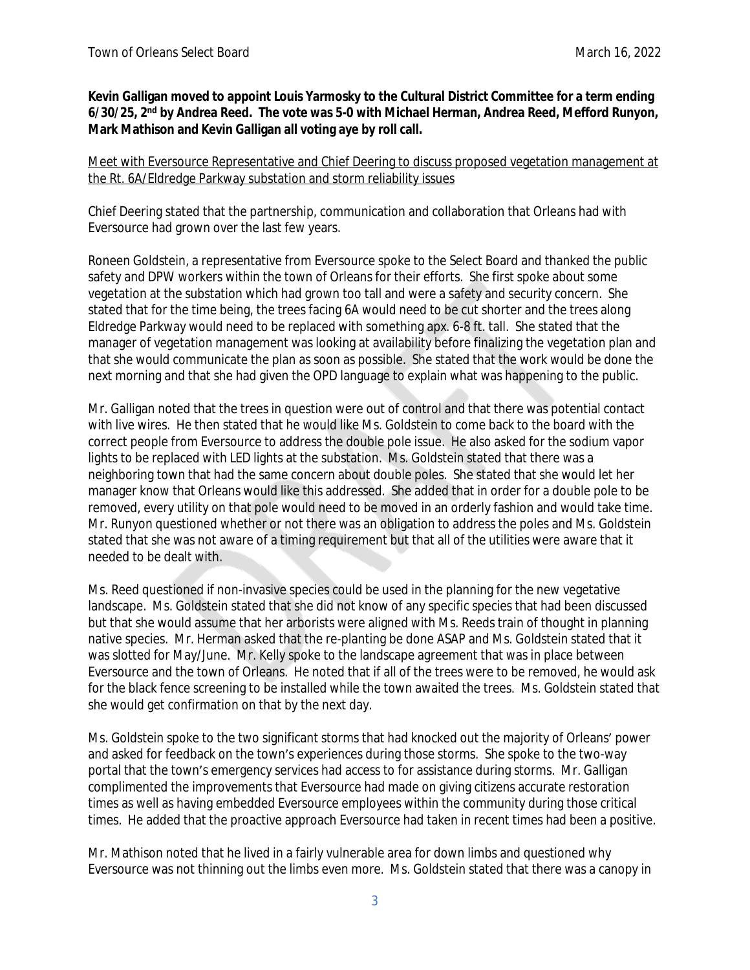### **Kevin Galligan moved to appoint Louis Yarmosky to the Cultural District Committee for a term ending 6/30/25, 2nd by Andrea Reed. The vote was 5-0 with Michael Herman, Andrea Reed, Mefford Runyon, Mark Mathison and Kevin Galligan all voting aye by roll call.**

#### Meet with Eversource Representative and Chief Deering to discuss proposed vegetation management at the Rt. 6A/Eldredge Parkway substation and storm reliability issues

Chief Deering stated that the partnership, communication and collaboration that Orleans had with Eversource had grown over the last few years.

Roneen Goldstein, a representative from Eversource spoke to the Select Board and thanked the public safety and DPW workers within the town of Orleans for their efforts. She first spoke about some vegetation at the substation which had grown too tall and were a safety and security concern. She stated that for the time being, the trees facing 6A would need to be cut shorter and the trees along Eldredge Parkway would need to be replaced with something apx. 6-8 ft. tall. She stated that the manager of vegetation management was looking at availability before finalizing the vegetation plan and that she would communicate the plan as soon as possible. She stated that the work would be done the next morning and that she had given the OPD language to explain what was happening to the public.

Mr. Galligan noted that the trees in question were out of control and that there was potential contact with live wires. He then stated that he would like Ms. Goldstein to come back to the board with the correct people from Eversource to address the double pole issue. He also asked for the sodium vapor lights to be replaced with LED lights at the substation. Ms. Goldstein stated that there was a neighboring town that had the same concern about double poles. She stated that she would let her manager know that Orleans would like this addressed. She added that in order for a double pole to be removed, every utility on that pole would need to be moved in an orderly fashion and would take time. Mr. Runyon questioned whether or not there was an obligation to address the poles and Ms. Goldstein stated that she was not aware of a timing requirement but that all of the utilities were aware that it needed to be dealt with.

Ms. Reed questioned if non-invasive species could be used in the planning for the new vegetative landscape. Ms. Goldstein stated that she did not know of any specific species that had been discussed but that she would assume that her arborists were aligned with Ms. Reeds train of thought in planning native species. Mr. Herman asked that the re-planting be done ASAP and Ms. Goldstein stated that it was slotted for May/June. Mr. Kelly spoke to the landscape agreement that was in place between Eversource and the town of Orleans. He noted that if all of the trees were to be removed, he would ask for the black fence screening to be installed while the town awaited the trees. Ms. Goldstein stated that she would get confirmation on that by the next day.

Ms. Goldstein spoke to the two significant storms that had knocked out the majority of Orleans' power and asked for feedback on the town's experiences during those storms. She spoke to the two-way portal that the town's emergency services had access to for assistance during storms. Mr. Galligan complimented the improvements that Eversource had made on giving citizens accurate restoration times as well as having embedded Eversource employees within the community during those critical times. He added that the proactive approach Eversource had taken in recent times had been a positive.

Mr. Mathison noted that he lived in a fairly vulnerable area for down limbs and questioned why Eversource was not thinning out the limbs even more. Ms. Goldstein stated that there was a canopy in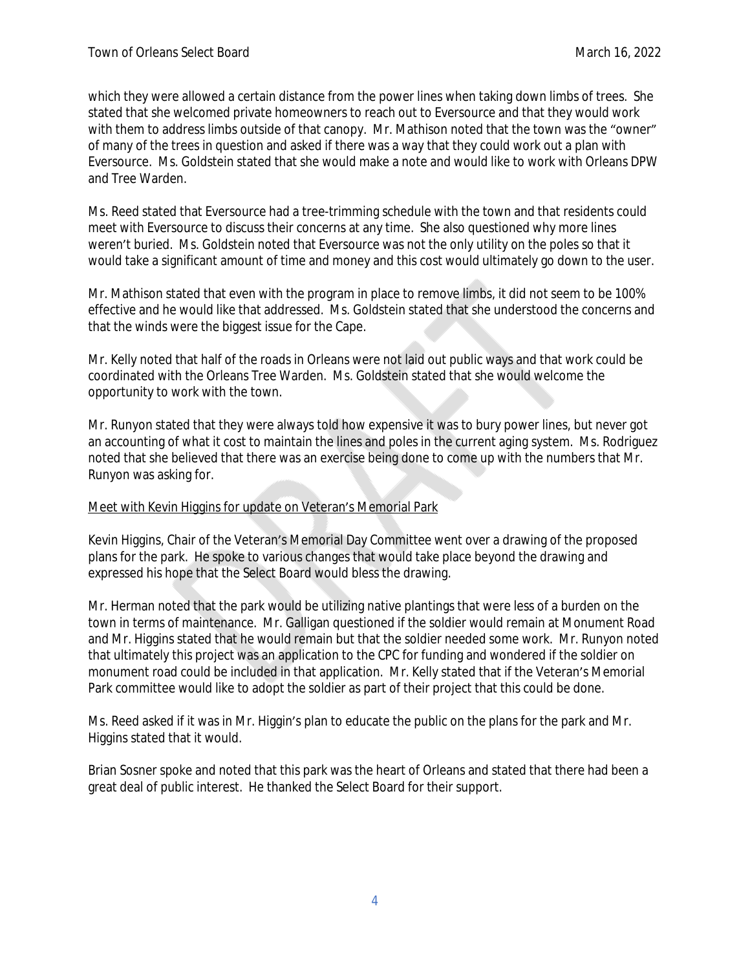which they were allowed a certain distance from the power lines when taking down limbs of trees. She stated that she welcomed private homeowners to reach out to Eversource and that they would work with them to address limbs outside of that canopy. Mr. Mathison noted that the town was the "owner" of many of the trees in question and asked if there was a way that they could work out a plan with Eversource. Ms. Goldstein stated that she would make a note and would like to work with Orleans DPW and Tree Warden.

Ms. Reed stated that Eversource had a tree-trimming schedule with the town and that residents could meet with Eversource to discuss their concerns at any time. She also questioned why more lines weren't buried. Ms. Goldstein noted that Eversource was not the only utility on the poles so that it would take a significant amount of time and money and this cost would ultimately go down to the user.

Mr. Mathison stated that even with the program in place to remove limbs, it did not seem to be 100% effective and he would like that addressed. Ms. Goldstein stated that she understood the concerns and that the winds were the biggest issue for the Cape.

Mr. Kelly noted that half of the roads in Orleans were not laid out public ways and that work could be coordinated with the Orleans Tree Warden. Ms. Goldstein stated that she would welcome the opportunity to work with the town.

Mr. Runyon stated that they were always told how expensive it was to bury power lines, but never got an accounting of what it cost to maintain the lines and poles in the current aging system. Ms. Rodriguez noted that she believed that there was an exercise being done to come up with the numbers that Mr. Runyon was asking for.

### Meet with Kevin Higgins for update on Veteran's Memorial Park

Kevin Higgins, Chair of the Veteran's Memorial Day Committee went over a drawing of the proposed plans for the park. He spoke to various changes that would take place beyond the drawing and expressed his hope that the Select Board would bless the drawing.

Mr. Herman noted that the park would be utilizing native plantings that were less of a burden on the town in terms of maintenance. Mr. Galligan questioned if the soldier would remain at Monument Road and Mr. Higgins stated that he would remain but that the soldier needed some work. Mr. Runyon noted that ultimately this project was an application to the CPC for funding and wondered if the soldier on monument road could be included in that application. Mr. Kelly stated that if the Veteran's Memorial Park committee would like to adopt the soldier as part of their project that this could be done.

Ms. Reed asked if it was in Mr. Higgin's plan to educate the public on the plans for the park and Mr. Higgins stated that it would.

Brian Sosner spoke and noted that this park was the heart of Orleans and stated that there had been a great deal of public interest. He thanked the Select Board for their support.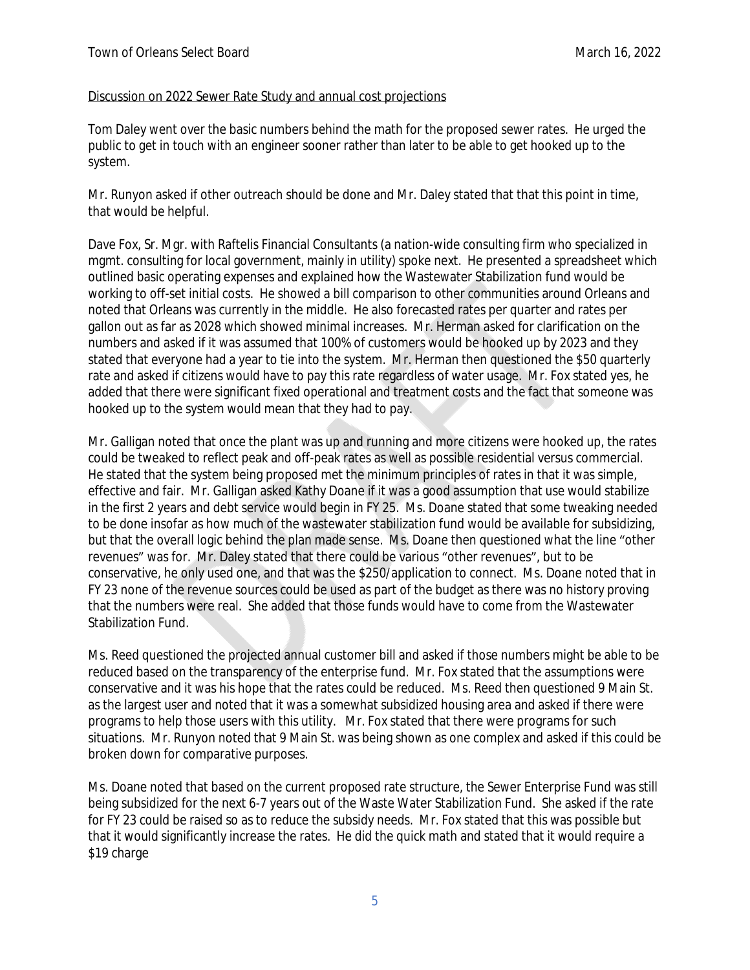#### Discussion on 2022 Sewer Rate Study and annual cost projections

Tom Daley went over the basic numbers behind the math for the proposed sewer rates. He urged the public to get in touch with an engineer sooner rather than later to be able to get hooked up to the system.

Mr. Runyon asked if other outreach should be done and Mr. Daley stated that that this point in time, that would be helpful.

Dave Fox, Sr. Mgr. with Raftelis Financial Consultants (a nation-wide consulting firm who specialized in mgmt. consulting for local government, mainly in utility) spoke next. He presented a spreadsheet which outlined basic operating expenses and explained how the Wastewater Stabilization fund would be working to off-set initial costs. He showed a bill comparison to other communities around Orleans and noted that Orleans was currently in the middle. He also forecasted rates per quarter and rates per gallon out as far as 2028 which showed minimal increases. Mr. Herman asked for clarification on the numbers and asked if it was assumed that 100% of customers would be hooked up by 2023 and they stated that everyone had a year to tie into the system. Mr. Herman then questioned the \$50 quarterly rate and asked if citizens would have to pay this rate regardless of water usage. Mr. Fox stated yes, he added that there were significant fixed operational and treatment costs and the fact that someone was hooked up to the system would mean that they had to pay.

Mr. Galligan noted that once the plant was up and running and more citizens were hooked up, the rates could be tweaked to reflect peak and off-peak rates as well as possible residential versus commercial. He stated that the system being proposed met the minimum principles of rates in that it was simple, effective and fair. Mr. Galligan asked Kathy Doane if it was a good assumption that use would stabilize in the first 2 years and debt service would begin in FY 25. Ms. Doane stated that some tweaking needed to be done insofar as how much of the wastewater stabilization fund would be available for subsidizing, but that the overall logic behind the plan made sense. Ms. Doane then questioned what the line "other revenues" was for. Mr. Daley stated that there could be various "other revenues", but to be conservative, he only used one, and that was the \$250/application to connect. Ms. Doane noted that in FY 23 none of the revenue sources could be used as part of the budget as there was no history proving that the numbers were real. She added that those funds would have to come from the Wastewater Stabilization Fund.

Ms. Reed questioned the projected annual customer bill and asked if those numbers might be able to be reduced based on the transparency of the enterprise fund. Mr. Fox stated that the assumptions were conservative and it was his hope that the rates could be reduced. Ms. Reed then questioned 9 Main St. as the largest user and noted that it was a somewhat subsidized housing area and asked if there were programs to help those users with this utility. Mr. Fox stated that there were programs for such situations. Mr. Runyon noted that 9 Main St. was being shown as one complex and asked if this could be broken down for comparative purposes.

Ms. Doane noted that based on the current proposed rate structure, the Sewer Enterprise Fund was still being subsidized for the next 6-7 years out of the Waste Water Stabilization Fund. She asked if the rate for FY 23 could be raised so as to reduce the subsidy needs. Mr. Fox stated that this was possible but that it would significantly increase the rates. He did the quick math and stated that it would require a \$19 charge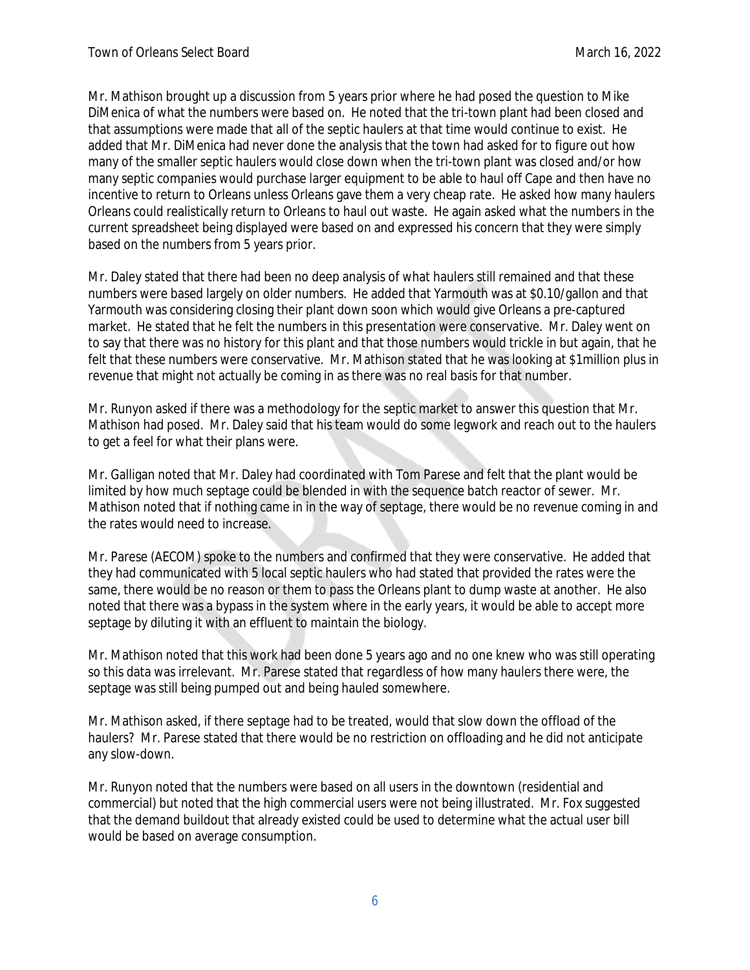Mr. Mathison brought up a discussion from 5 years prior where he had posed the question to Mike DiMenica of what the numbers were based on. He noted that the tri-town plant had been closed and that assumptions were made that all of the septic haulers at that time would continue to exist. He added that Mr. DiMenica had never done the analysis that the town had asked for to figure out how many of the smaller septic haulers would close down when the tri-town plant was closed and/or how many septic companies would purchase larger equipment to be able to haul off Cape and then have no incentive to return to Orleans unless Orleans gave them a very cheap rate. He asked how many haulers Orleans could realistically return to Orleans to haul out waste. He again asked what the numbers in the current spreadsheet being displayed were based on and expressed his concern that they were simply based on the numbers from 5 years prior.

Mr. Daley stated that there had been no deep analysis of what haulers still remained and that these numbers were based largely on older numbers. He added that Yarmouth was at \$0.10/gallon and that Yarmouth was considering closing their plant down soon which would give Orleans a pre-captured market. He stated that he felt the numbers in this presentation were conservative. Mr. Daley went on to say that there was no history for this plant and that those numbers would trickle in but again, that he felt that these numbers were conservative. Mr. Mathison stated that he was looking at \$1million plus in revenue that might not actually be coming in as there was no real basis for that number.

Mr. Runyon asked if there was a methodology for the septic market to answer this question that Mr. Mathison had posed. Mr. Daley said that his team would do some legwork and reach out to the haulers to get a feel for what their plans were.

Mr. Galligan noted that Mr. Daley had coordinated with Tom Parese and felt that the plant would be limited by how much septage could be blended in with the sequence batch reactor of sewer. Mr. Mathison noted that if nothing came in in the way of septage, there would be no revenue coming in and the rates would need to increase.

Mr. Parese (AECOM) spoke to the numbers and confirmed that they were conservative. He added that they had communicated with 5 local septic haulers who had stated that provided the rates were the same, there would be no reason or them to pass the Orleans plant to dump waste at another. He also noted that there was a bypass in the system where in the early years, it would be able to accept more septage by diluting it with an effluent to maintain the biology.

Mr. Mathison noted that this work had been done 5 years ago and no one knew who was still operating so this data was irrelevant. Mr. Parese stated that regardless of how many haulers there were, the septage was still being pumped out and being hauled somewhere.

Mr. Mathison asked, if there septage had to be treated, would that slow down the offload of the haulers? Mr. Parese stated that there would be no restriction on offloading and he did not anticipate any slow-down.

Mr. Runyon noted that the numbers were based on all users in the downtown (residential and commercial) but noted that the high commercial users were not being illustrated. Mr. Fox suggested that the demand buildout that already existed could be used to determine what the actual user bill would be based on average consumption.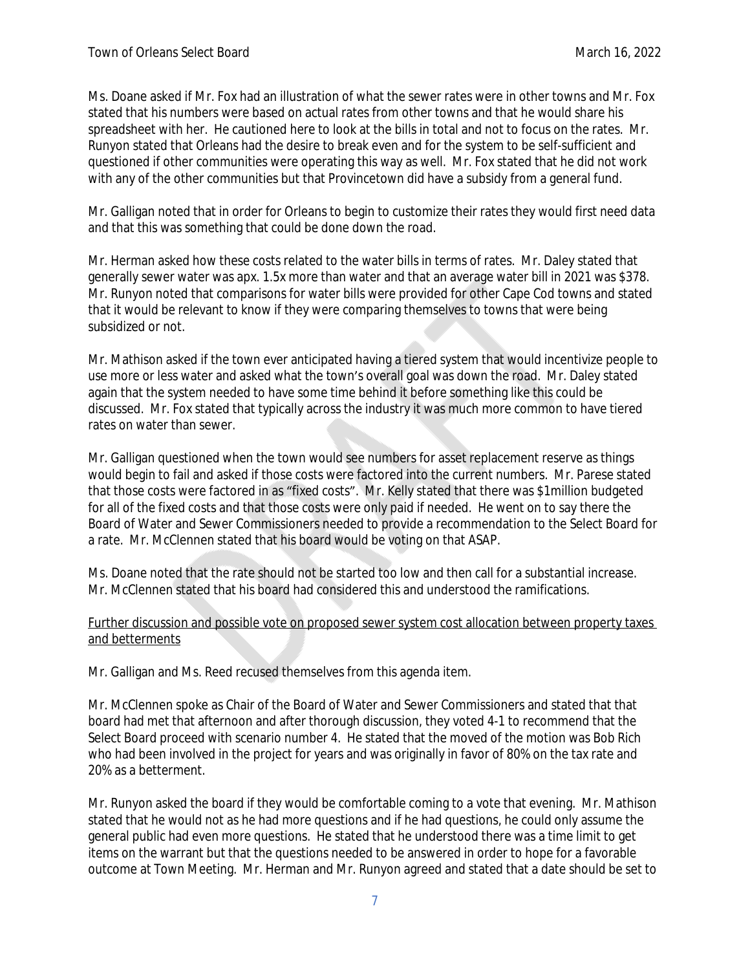Ms. Doane asked if Mr. Fox had an illustration of what the sewer rates were in other towns and Mr. Fox stated that his numbers were based on actual rates from other towns and that he would share his spreadsheet with her. He cautioned here to look at the bills in total and not to focus on the rates. Mr. Runyon stated that Orleans had the desire to break even and for the system to be self-sufficient and questioned if other communities were operating this way as well. Mr. Fox stated that he did not work with any of the other communities but that Provincetown did have a subsidy from a general fund.

Mr. Galligan noted that in order for Orleans to begin to customize their rates they would first need data and that this was something that could be done down the road.

Mr. Herman asked how these costs related to the water bills in terms of rates. Mr. Daley stated that generally sewer water was apx. 1.5x more than water and that an average water bill in 2021 was \$378. Mr. Runyon noted that comparisons for water bills were provided for other Cape Cod towns and stated that it would be relevant to know if they were comparing themselves to towns that were being subsidized or not.

Mr. Mathison asked if the town ever anticipated having a tiered system that would incentivize people to use more or less water and asked what the town's overall goal was down the road. Mr. Daley stated again that the system needed to have some time behind it before something like this could be discussed. Mr. Fox stated that typically across the industry it was much more common to have tiered rates on water than sewer.

Mr. Galligan questioned when the town would see numbers for asset replacement reserve as things would begin to fail and asked if those costs were factored into the current numbers. Mr. Parese stated that those costs were factored in as "fixed costs". Mr. Kelly stated that there was \$1million budgeted for all of the fixed costs and that those costs were only paid if needed. He went on to say there the Board of Water and Sewer Commissioners needed to provide a recommendation to the Select Board for a rate. Mr. McClennen stated that his board would be voting on that ASAP.

Ms. Doane noted that the rate should not be started too low and then call for a substantial increase. Mr. McClennen stated that his board had considered this and understood the ramifications.

# Further discussion and possible vote on proposed sewer system cost allocation between property taxes and betterments

Mr. Galligan and Ms. Reed recused themselves from this agenda item.

Mr. McClennen spoke as Chair of the Board of Water and Sewer Commissioners and stated that that board had met that afternoon and after thorough discussion, they voted 4-1 to recommend that the Select Board proceed with scenario number 4. He stated that the moved of the motion was Bob Rich who had been involved in the project for years and was originally in favor of 80% on the tax rate and 20% as a betterment.

Mr. Runyon asked the board if they would be comfortable coming to a vote that evening. Mr. Mathison stated that he would not as he had more questions and if he had questions, he could only assume the general public had even more questions. He stated that he understood there was a time limit to get items on the warrant but that the questions needed to be answered in order to hope for a favorable outcome at Town Meeting. Mr. Herman and Mr. Runyon agreed and stated that a date should be set to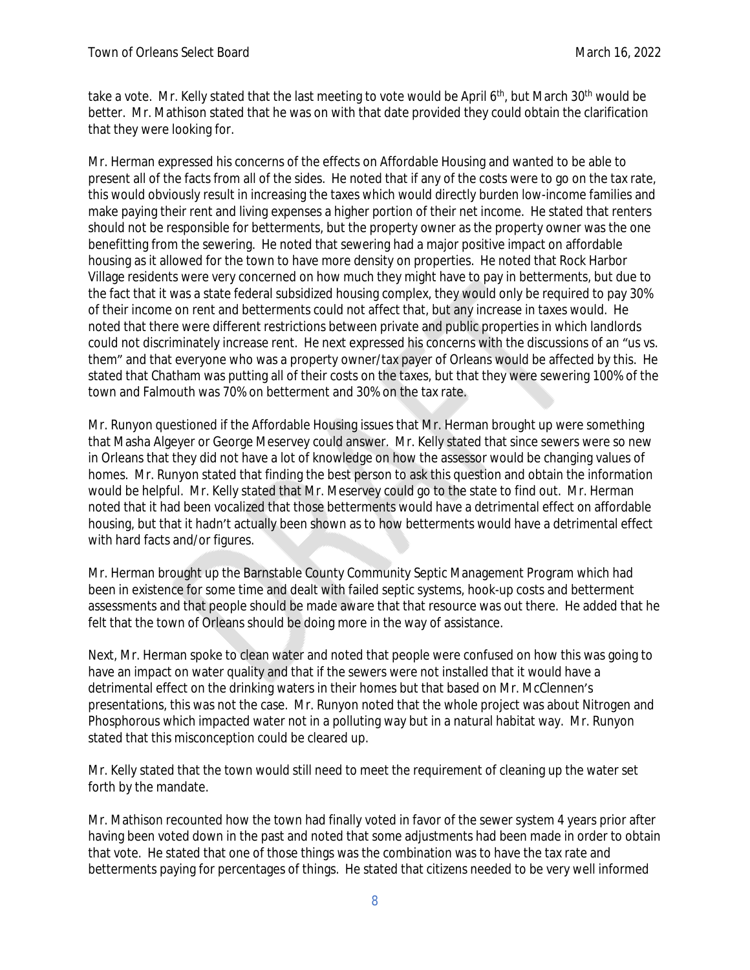take a vote. Mr. Kelly stated that the last meeting to vote would be April 6<sup>th</sup>, but March 30<sup>th</sup> would be better. Mr. Mathison stated that he was on with that date provided they could obtain the clarification that they were looking for.

Mr. Herman expressed his concerns of the effects on Affordable Housing and wanted to be able to present all of the facts from all of the sides. He noted that if any of the costs were to go on the tax rate, this would obviously result in increasing the taxes which would directly burden low-income families and make paying their rent and living expenses a higher portion of their net income. He stated that renters should not be responsible for betterments, but the property owner as the property owner was the one benefitting from the sewering. He noted that sewering had a major positive impact on affordable housing as it allowed for the town to have more density on properties. He noted that Rock Harbor Village residents were very concerned on how much they might have to pay in betterments, but due to the fact that it was a state federal subsidized housing complex, they would only be required to pay 30% of their income on rent and betterments could not affect that, but any increase in taxes would. He noted that there were different restrictions between private and public properties in which landlords could not discriminately increase rent. He next expressed his concerns with the discussions of an "us vs. them" and that everyone who was a property owner/tax payer of Orleans would be affected by this. He stated that Chatham was putting all of their costs on the taxes, but that they were sewering 100% of the town and Falmouth was 70% on betterment and 30% on the tax rate.

Mr. Runyon questioned if the Affordable Housing issues that Mr. Herman brought up were something that Masha Algeyer or George Meservey could answer. Mr. Kelly stated that since sewers were so new in Orleans that they did not have a lot of knowledge on how the assessor would be changing values of homes. Mr. Runyon stated that finding the best person to ask this question and obtain the information would be helpful. Mr. Kelly stated that Mr. Meservey could go to the state to find out. Mr. Herman noted that it had been vocalized that those betterments would have a detrimental effect on affordable housing, but that it hadn't actually been shown as to how betterments would have a detrimental effect with hard facts and/or figures.

Mr. Herman brought up the Barnstable County Community Septic Management Program which had been in existence for some time and dealt with failed septic systems, hook-up costs and betterment assessments and that people should be made aware that that resource was out there. He added that he felt that the town of Orleans should be doing more in the way of assistance.

Next, Mr. Herman spoke to clean water and noted that people were confused on how this was going to have an impact on water quality and that if the sewers were not installed that it would have a detrimental effect on the drinking waters in their homes but that based on Mr. McClennen's presentations, this was not the case. Mr. Runyon noted that the whole project was about Nitrogen and Phosphorous which impacted water not in a polluting way but in a natural habitat way. Mr. Runyon stated that this misconception could be cleared up.

Mr. Kelly stated that the town would still need to meet the requirement of cleaning up the water set forth by the mandate.

Mr. Mathison recounted how the town had finally voted in favor of the sewer system 4 years prior after having been voted down in the past and noted that some adjustments had been made in order to obtain that vote. He stated that one of those things was the combination was to have the tax rate and betterments paying for percentages of things. He stated that citizens needed to be very well informed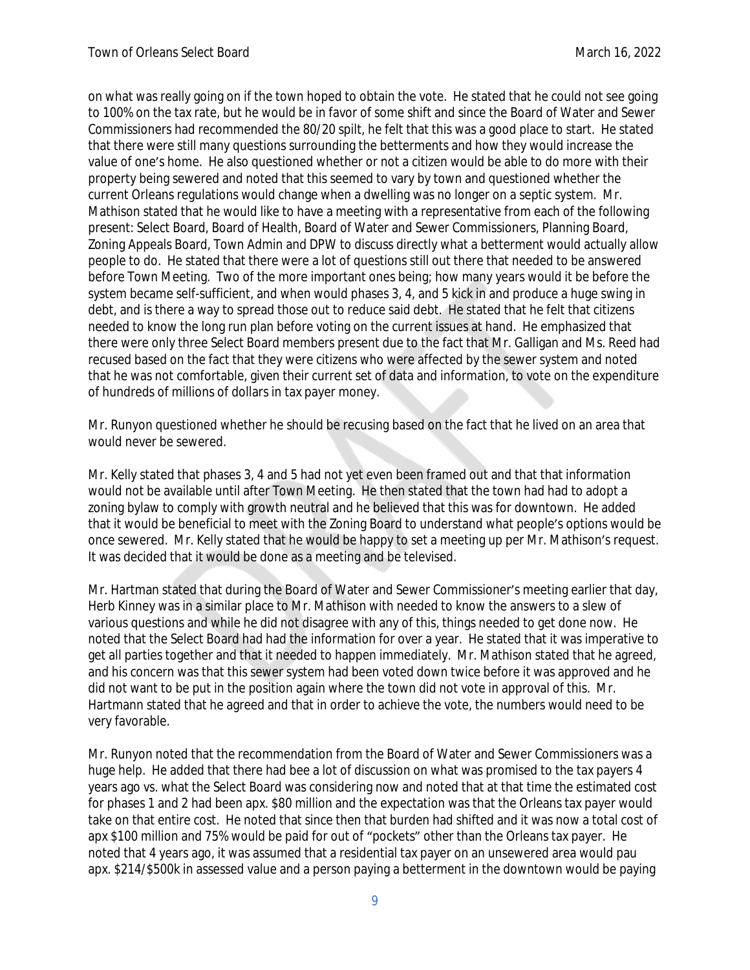on what was really going on if the town hoped to obtain the vote. He stated that he could not see going to 100% on the tax rate, but he would be in favor of some shift and since the Board of Water and Sewer Commissioners had recommended the 80/20 spilt, he felt that this was a good place to start. He stated that there were still many questions surrounding the betterments and how they would increase the value of one's home. He also questioned whether or not a citizen would be able to do more with their property being sewered and noted that this seemed to vary by town and questioned whether the current Orleans regulations would change when a dwelling was no longer on a septic system. Mr. Mathison stated that he would like to have a meeting with a representative from each of the following present: Select Board, Board of Health, Board of Water and Sewer Commissioners, Planning Board, Zoning Appeals Board, Town Admin and DPW to discuss directly what a betterment would actually allow people to do. He stated that there were a lot of questions still out there that needed to be answered before Town Meeting. Two of the more important ones being; how many years would it be before the system became self-sufficient, and when would phases 3, 4, and 5 kick in and produce a huge swing in debt, and is there a way to spread those out to reduce said debt. He stated that he felt that citizens needed to know the long run plan before voting on the current issues at hand. He emphasized that there were only three Select Board members present due to the fact that Mr. Galligan and Ms. Reed had recused based on the fact that they were citizens who were affected by the sewer system and noted that he was not comfortable, given their current set of data and information, to vote on the expenditure of hundreds of millions of dollars in tax payer money.

Mr. Runyon questioned whether he should be recusing based on the fact that he lived on an area that would never be sewered.

Mr. Kelly stated that phases 3, 4 and 5 had not yet even been framed out and that that information would not be available until after Town Meeting. He then stated that the town had had to adopt a zoning bylaw to comply with growth neutral and he believed that this was for downtown. He added that it would be beneficial to meet with the Zoning Board to understand what people's options would be once sewered. Mr. Kelly stated that he would be happy to set a meeting up per Mr. Mathison's request. It was decided that it would be done as a meeting and be televised.

Mr. Hartman stated that during the Board of Water and Sewer Commissioner's meeting earlier that day, Herb Kinney was in a similar place to Mr. Mathison with needed to know the answers to a slew of various questions and while he did not disagree with any of this, things needed to get done now. He noted that the Select Board had had the information for over a year. He stated that it was imperative to get all parties together and that it needed to happen immediately. Mr. Mathison stated that he agreed, and his concern was that this sewer system had been voted down twice before it was approved and he did not want to be put in the position again where the town did not vote in approval of this. Mr. Hartmann stated that he agreed and that in order to achieve the vote, the numbers would need to be very favorable.

Mr. Runyon noted that the recommendation from the Board of Water and Sewer Commissioners was a huge help. He added that there had bee a lot of discussion on what was promised to the tax payers 4 years ago vs. what the Select Board was considering now and noted that at that time the estimated cost for phases 1 and 2 had been apx. \$80 million and the expectation was that the Orleans tax payer would take on that entire cost. He noted that since then that burden had shifted and it was now a total cost of apx \$100 million and 75% would be paid for out of "pockets" other than the Orleans tax payer. He noted that 4 years ago, it was assumed that a residential tax payer on an unsewered area would pau apx. \$214/\$500k in assessed value and a person paying a betterment in the downtown would be paying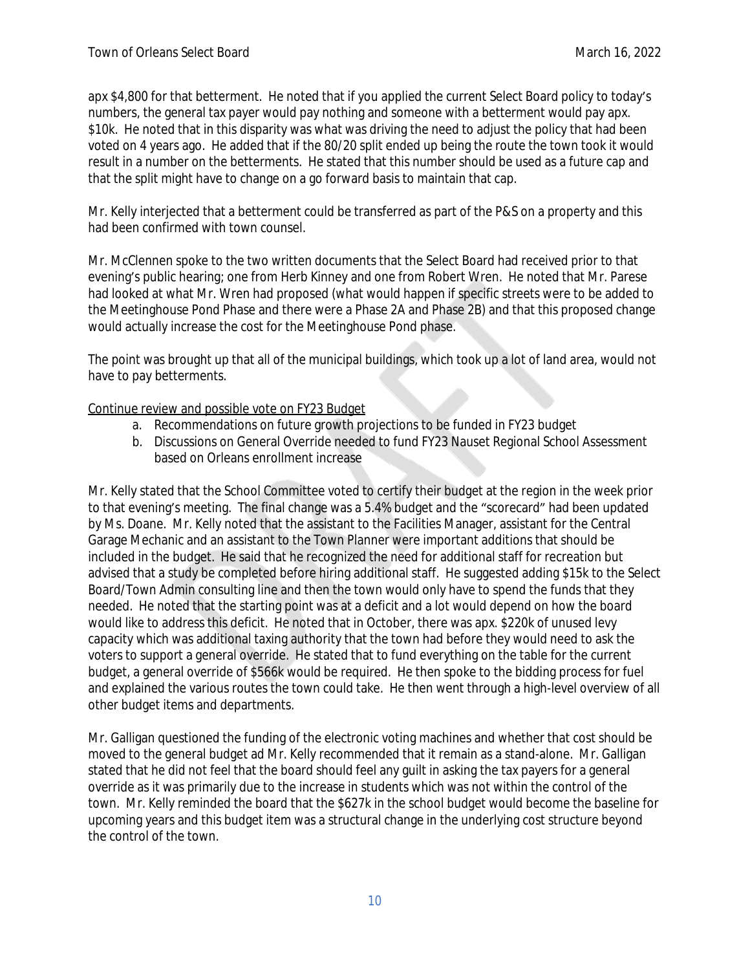apx \$4,800 for that betterment. He noted that if you applied the current Select Board policy to today's numbers, the general tax payer would pay nothing and someone with a betterment would pay apx. \$10k. He noted that in this disparity was what was driving the need to adjust the policy that had been voted on 4 years ago. He added that if the 80/20 split ended up being the route the town took it would result in a number on the betterments. He stated that this number should be used as a future cap and that the split might have to change on a go forward basis to maintain that cap.

Mr. Kelly interjected that a betterment could be transferred as part of the P&S on a property and this had been confirmed with town counsel.

Mr. McClennen spoke to the two written documents that the Select Board had received prior to that evening's public hearing; one from Herb Kinney and one from Robert Wren. He noted that Mr. Parese had looked at what Mr. Wren had proposed (what would happen if specific streets were to be added to the Meetinghouse Pond Phase and there were a Phase 2A and Phase 2B) and that this proposed change would actually increase the cost for the Meetinghouse Pond phase.

The point was brought up that all of the municipal buildings, which took up a lot of land area, would not have to pay betterments.

# Continue review and possible vote on FY23 Budget

- a. Recommendations on future growth projections to be funded in FY23 budget
- b. Discussions on General Override needed to fund FY23 Nauset Regional School Assessment based on Orleans enrollment increase

Mr. Kelly stated that the School Committee voted to certify their budget at the region in the week prior to that evening's meeting. The final change was a 5.4% budget and the "scorecard" had been updated by Ms. Doane. Mr. Kelly noted that the assistant to the Facilities Manager, assistant for the Central Garage Mechanic and an assistant to the Town Planner were important additions that should be included in the budget. He said that he recognized the need for additional staff for recreation but advised that a study be completed before hiring additional staff. He suggested adding \$15k to the Select Board/Town Admin consulting line and then the town would only have to spend the funds that they needed. He noted that the starting point was at a deficit and a lot would depend on how the board would like to address this deficit. He noted that in October, there was apx. \$220k of unused levy capacity which was additional taxing authority that the town had before they would need to ask the voters to support a general override. He stated that to fund everything on the table for the current budget, a general override of \$566k would be required. He then spoke to the bidding process for fuel and explained the various routes the town could take. He then went through a high-level overview of all other budget items and departments.

Mr. Galligan questioned the funding of the electronic voting machines and whether that cost should be moved to the general budget ad Mr. Kelly recommended that it remain as a stand-alone. Mr. Galligan stated that he did not feel that the board should feel any guilt in asking the tax payers for a general override as it was primarily due to the increase in students which was not within the control of the town. Mr. Kelly reminded the board that the \$627k in the school budget would become the baseline for upcoming years and this budget item was a structural change in the underlying cost structure beyond the control of the town.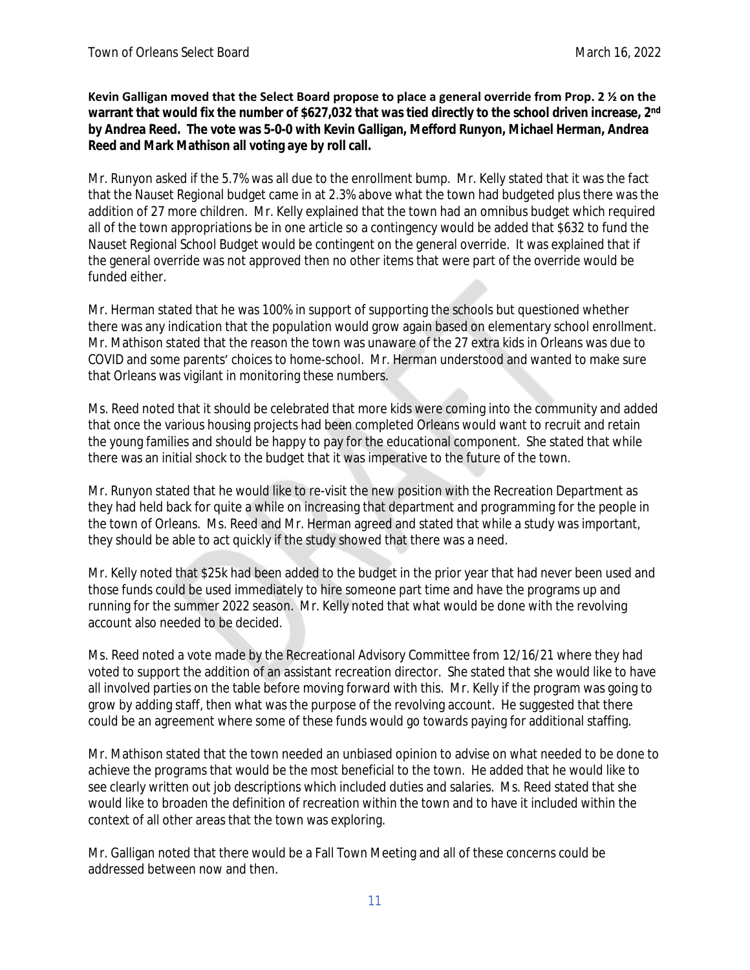**Kevin Galligan moved that the Select Board propose to place a general override from Prop. 2 ½ on the warrant that would fix the number of \$627,032 that was tied directly to the school driven increase, 2nd by Andrea Reed. The vote was 5-0-0 with Kevin Galligan, Mefford Runyon, Michael Herman, Andrea Reed and Mark Mathison all voting aye by roll call.**

Mr. Runyon asked if the 5.7% was all due to the enrollment bump. Mr. Kelly stated that it was the fact that the Nauset Regional budget came in at 2.3% above what the town had budgeted plus there was the addition of 27 more children. Mr. Kelly explained that the town had an omnibus budget which required all of the town appropriations be in one article so a contingency would be added that \$632 to fund the Nauset Regional School Budget would be contingent on the general override. It was explained that if the general override was not approved then no other items that were part of the override would be funded either.

Mr. Herman stated that he was 100% in support of supporting the schools but questioned whether there was any indication that the population would grow again based on elementary school enrollment. Mr. Mathison stated that the reason the town was unaware of the 27 extra kids in Orleans was due to COVID and some parents' choices to home-school. Mr. Herman understood and wanted to make sure that Orleans was vigilant in monitoring these numbers.

Ms. Reed noted that it should be celebrated that more kids were coming into the community and added that once the various housing projects had been completed Orleans would want to recruit and retain the young families and should be happy to pay for the educational component. She stated that while there was an initial shock to the budget that it was imperative to the future of the town.

Mr. Runyon stated that he would like to re-visit the new position with the Recreation Department as they had held back for quite a while on increasing that department and programming for the people in the town of Orleans. Ms. Reed and Mr. Herman agreed and stated that while a study was important, they should be able to act quickly if the study showed that there was a need.

Mr. Kelly noted that \$25k had been added to the budget in the prior year that had never been used and those funds could be used immediately to hire someone part time and have the programs up and running for the summer 2022 season. Mr. Kelly noted that what would be done with the revolving account also needed to be decided.

Ms. Reed noted a vote made by the Recreational Advisory Committee from 12/16/21 where they had voted to support the addition of an assistant recreation director. She stated that she would like to have all involved parties on the table before moving forward with this. Mr. Kelly if the program was going to grow by adding staff, then what was the purpose of the revolving account. He suggested that there could be an agreement where some of these funds would go towards paying for additional staffing.

Mr. Mathison stated that the town needed an unbiased opinion to advise on what needed to be done to achieve the programs that would be the most beneficial to the town. He added that he would like to see clearly written out job descriptions which included duties and salaries. Ms. Reed stated that she would like to broaden the definition of recreation within the town and to have it included within the context of all other areas that the town was exploring.

Mr. Galligan noted that there would be a Fall Town Meeting and all of these concerns could be addressed between now and then.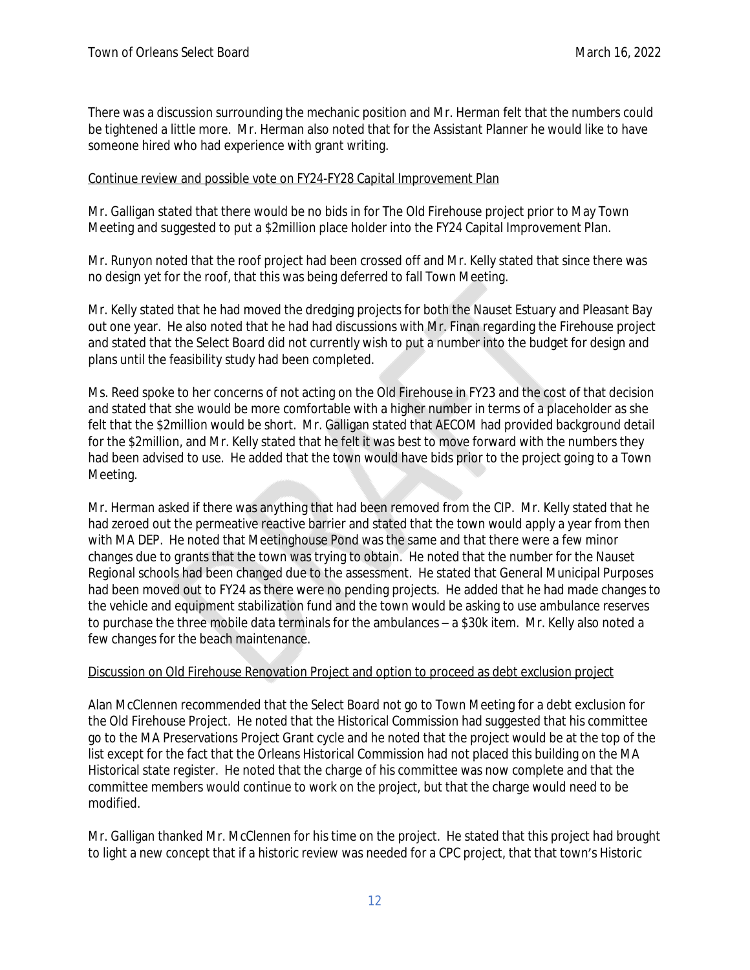There was a discussion surrounding the mechanic position and Mr. Herman felt that the numbers could be tightened a little more. Mr. Herman also noted that for the Assistant Planner he would like to have someone hired who had experience with grant writing.

# Continue review and possible vote on FY24-FY28 Capital Improvement Plan

Mr. Galligan stated that there would be no bids in for The Old Firehouse project prior to May Town Meeting and suggested to put a \$2million place holder into the FY24 Capital Improvement Plan.

Mr. Runyon noted that the roof project had been crossed off and Mr. Kelly stated that since there was no design yet for the roof, that this was being deferred to fall Town Meeting.

Mr. Kelly stated that he had moved the dredging projects for both the Nauset Estuary and Pleasant Bay out one year. He also noted that he had had discussions with Mr. Finan regarding the Firehouse project and stated that the Select Board did not currently wish to put a number into the budget for design and plans until the feasibility study had been completed.

Ms. Reed spoke to her concerns of not acting on the Old Firehouse in FY23 and the cost of that decision and stated that she would be more comfortable with a higher number in terms of a placeholder as she felt that the \$2million would be short. Mr. Galligan stated that AECOM had provided background detail for the \$2million, and Mr. Kelly stated that he felt it was best to move forward with the numbers they had been advised to use. He added that the town would have bids prior to the project going to a Town Meeting.

Mr. Herman asked if there was anything that had been removed from the CIP. Mr. Kelly stated that he had zeroed out the permeative reactive barrier and stated that the town would apply a year from then with MA DEP. He noted that Meetinghouse Pond was the same and that there were a few minor changes due to grants that the town was trying to obtain. He noted that the number for the Nauset Regional schools had been changed due to the assessment. He stated that General Municipal Purposes had been moved out to FY24 as there were no pending projects. He added that he had made changes to the vehicle and equipment stabilization fund and the town would be asking to use ambulance reserves to purchase the three mobile data terminals for the ambulances – a \$30k item. Mr. Kelly also noted a few changes for the beach maintenance.

### Discussion on Old Firehouse Renovation Project and option to proceed as debt exclusion project

Alan McClennen recommended that the Select Board not go to Town Meeting for a debt exclusion for the Old Firehouse Project. He noted that the Historical Commission had suggested that his committee go to the MA Preservations Project Grant cycle and he noted that the project would be at the top of the list except for the fact that the Orleans Historical Commission had not placed this building on the MA Historical state register. He noted that the charge of his committee was now complete and that the committee members would continue to work on the project, but that the charge would need to be modified.

Mr. Galligan thanked Mr. McClennen for his time on the project. He stated that this project had brought to light a new concept that if a historic review was needed for a CPC project, that that town's Historic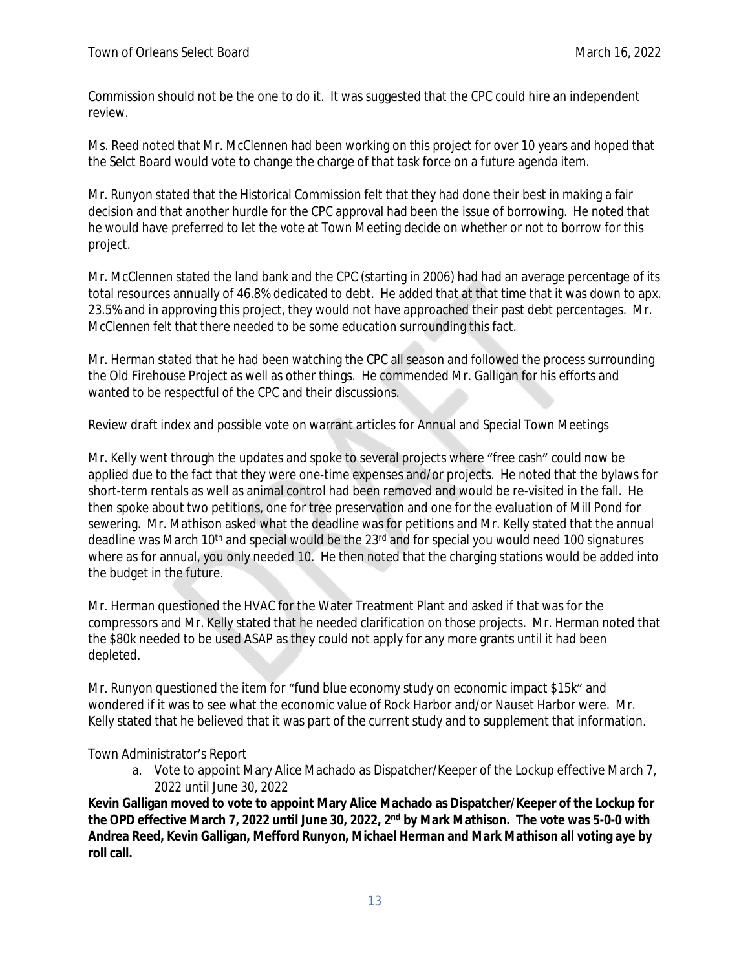Commission should not be the one to do it. It was suggested that the CPC could hire an independent review.

Ms. Reed noted that Mr. McClennen had been working on this project for over 10 years and hoped that the Selct Board would vote to change the charge of that task force on a future agenda item.

Mr. Runyon stated that the Historical Commission felt that they had done their best in making a fair decision and that another hurdle for the CPC approval had been the issue of borrowing. He noted that he would have preferred to let the vote at Town Meeting decide on whether or not to borrow for this project.

Mr. McClennen stated the land bank and the CPC (starting in 2006) had had an average percentage of its total resources annually of 46.8% dedicated to debt. He added that at that time that it was down to apx. 23.5% and in approving this project, they would not have approached their past debt percentages. Mr. McClennen felt that there needed to be some education surrounding this fact.

Mr. Herman stated that he had been watching the CPC all season and followed the process surrounding the Old Firehouse Project as well as other things. He commended Mr. Galligan for his efforts and wanted to be respectful of the CPC and their discussions.

# Review draft index and possible vote on warrant articles for Annual and Special Town Meetings

Mr. Kelly went through the updates and spoke to several projects where "free cash" could now be applied due to the fact that they were one-time expenses and/or projects. He noted that the bylaws for short-term rentals as well as animal control had been removed and would be re-visited in the fall. He then spoke about two petitions, one for tree preservation and one for the evaluation of Mill Pond for sewering. Mr. Mathison asked what the deadline was for petitions and Mr. Kelly stated that the annual deadline was March 10<sup>th</sup> and special would be the 23<sup>rd</sup> and for special you would need 100 signatures where as for annual, you only needed 10. He then noted that the charging stations would be added into the budget in the future.

Mr. Herman questioned the HVAC for the Water Treatment Plant and asked if that was for the compressors and Mr. Kelly stated that he needed clarification on those projects. Mr. Herman noted that the \$80k needed to be used ASAP as they could not apply for any more grants until it had been depleted.

Mr. Runyon questioned the item for "fund blue economy study on economic impact \$15k" and wondered if it was to see what the economic value of Rock Harbor and/or Nauset Harbor were. Mr. Kelly stated that he believed that it was part of the current study and to supplement that information.

# Town Administrator's Report

a. Vote to appoint Mary Alice Machado as Dispatcher/Keeper of the Lockup effective March 7, 2022 until June 30, 2022

**Kevin Galligan moved to vote to appoint Mary Alice Machado as Dispatcher/Keeper of the Lockup for the OPD effective March 7, 2022 until June 30, 2022, 2nd by Mark Mathison. The vote was 5-0-0 with Andrea Reed, Kevin Galligan, Mefford Runyon, Michael Herman and Mark Mathison all voting aye by roll call.**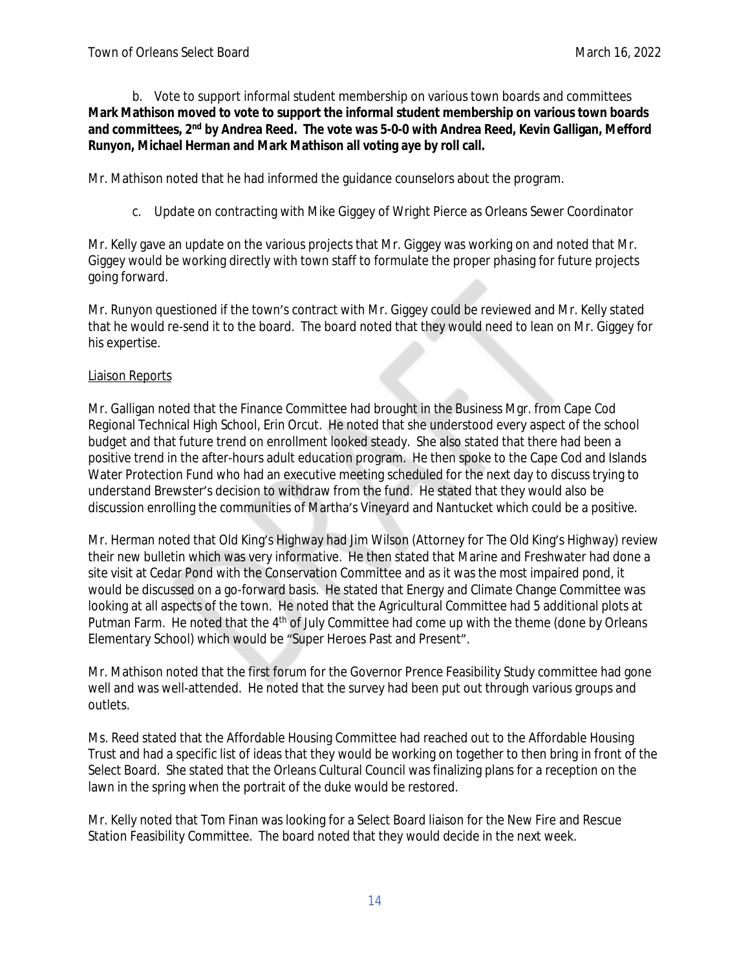b. Vote to support informal student membership on various town boards and committees **Mark Mathison moved to vote to support the informal student membership on various town boards and committees, 2nd by Andrea Reed. The vote was 5-0-0 with Andrea Reed, Kevin Galligan, Mefford Runyon, Michael Herman and Mark Mathison all voting aye by roll call.**

Mr. Mathison noted that he had informed the guidance counselors about the program.

c. Update on contracting with Mike Giggey of Wright Pierce as Orleans Sewer Coordinator

Mr. Kelly gave an update on the various projects that Mr. Giggey was working on and noted that Mr. Giggey would be working directly with town staff to formulate the proper phasing for future projects going forward.

Mr. Runyon questioned if the town's contract with Mr. Giggey could be reviewed and Mr. Kelly stated that he would re-send it to the board. The board noted that they would need to lean on Mr. Giggey for his expertise.

### Liaison Reports

Mr. Galligan noted that the Finance Committee had brought in the Business Mgr. from Cape Cod Regional Technical High School, Erin Orcut. He noted that she understood every aspect of the school budget and that future trend on enrollment looked steady. She also stated that there had been a positive trend in the after-hours adult education program. He then spoke to the Cape Cod and Islands Water Protection Fund who had an executive meeting scheduled for the next day to discuss trying to understand Brewster's decision to withdraw from the fund. He stated that they would also be discussion enrolling the communities of Martha's Vineyard and Nantucket which could be a positive.

Mr. Herman noted that Old King's Highway had Jim Wilson (Attorney for The Old King's Highway) review their new bulletin which was very informative. He then stated that Marine and Freshwater had done a site visit at Cedar Pond with the Conservation Committee and as it was the most impaired pond, it would be discussed on a go-forward basis. He stated that Energy and Climate Change Committee was looking at all aspects of the town. He noted that the Agricultural Committee had 5 additional plots at Putman Farm. He noted that the 4<sup>th</sup> of July Committee had come up with the theme (done by Orleans Elementary School) which would be "Super Heroes Past and Present".

Mr. Mathison noted that the first forum for the Governor Prence Feasibility Study committee had gone well and was well-attended. He noted that the survey had been put out through various groups and outlets.

Ms. Reed stated that the Affordable Housing Committee had reached out to the Affordable Housing Trust and had a specific list of ideas that they would be working on together to then bring in front of the Select Board. She stated that the Orleans Cultural Council was finalizing plans for a reception on the lawn in the spring when the portrait of the duke would be restored.

Mr. Kelly noted that Tom Finan was looking for a Select Board liaison for the New Fire and Rescue Station Feasibility Committee. The board noted that they would decide in the next week.